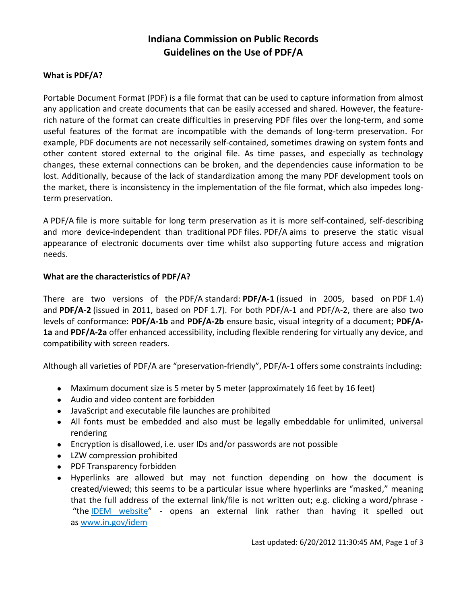# **Indiana Commission on Public Records Guidelines on the Use of PDF/A**

### **What is PDF/A?**

Portable Document Format (PDF) is a file format that can be used to capture information from almost any application and create documents that can be easily accessed and shared. However, the featurerich nature of the format can create difficulties in preserving PDF files over the long-term, and some useful features of the format are incompatible with the demands of long-term preservation. For example, PDF documents are not necessarily self-contained, sometimes drawing on system fonts and other content stored external to the original file. As time passes, and especially as technology changes, these external connections can be broken, and the dependencies cause information to be lost. Additionally, because of the lack of standardization among the many PDF development tools on the market, there is inconsistency in the implementation of the file format, which also impedes longterm preservation.

A PDF/A file is more suitable for long term preservation as it is more self-contained, self-describing and more device-independent than traditional PDF files. PDF/A aims to preserve the static visual appearance of electronic documents over time whilst also supporting future access and migration needs.

### **What are the characteristics of PDF/A?**

There are two versions of the PDF/A standard: **PDF/A-1** (issued in 2005, based on PDF 1.4) and **PDF/A-2** (issued in 2011, based on PDF 1.7). For both PDF/A-1 and PDF/A-2, there are also two levels of conformance: **PDF/A-1b** and **PDF/A-2b** ensure basic, visual integrity of a document; **PDF/A-1a** and **PDF/A-2a** offer enhanced accessibility, including flexible rendering for virtually any device, and compatibility with screen readers.

Although all varieties of PDF/A are "preservation-friendly", PDF/A-1 offers some constraints including:

- Maximum document size is 5 meter by 5 meter (approximately 16 feet by 16 feet)
- Audio and video content are forbidden
- JavaScript and executable file launches are prohibited
- All fonts must be embedded and also must be legally embeddable for unlimited, universal rendering
- Encryption is disallowed, i.e. user IDs and/or passwords are not possible
- LZW compression prohibited
- PDF Transparency forbidden
- Hyperlinks are allowed but may not function depending on how the document is created/viewed; this seems to be a particular issue where hyperlinks are "masked," meaning that the full address of the external link/file is not written out; e.g. clicking a word/phrase - "the **IDEM** website" - opens an external link rather than having it spelled out as www.in.gov/idem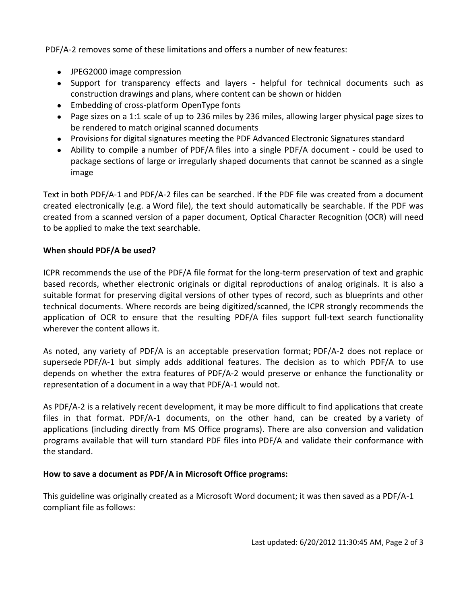PDF/A-2 removes some of these limitations and offers a number of new features:

- JPEG2000 image compression
- Support for transparency effects and layers helpful for technical documents such as construction drawings and plans, where content can be shown or hidden
- Embedding of cross-platform OpenType fonts
- Page sizes on a 1:1 scale of up to 236 miles by 236 miles, allowing larger physical page sizes to be rendered to match original scanned documents
- Provisions for digital signatures meeting the PDF Advanced Electronic Signatures standard
- Ability to compile a number of PDF/A files into a single PDF/A document could be used to package sections of large or irregularly shaped documents that cannot be scanned as a single image

Text in both PDF/A-1 and PDF/A-2 files can be searched. If the PDF file was created from a document created electronically (e.g. a Word file), the text should automatically be searchable. If the PDF was created from a scanned version of a paper document, Optical Character Recognition (OCR) will need to be applied to make the text searchable.

## **When should PDF/A be used?**

ICPR recommends the use of the PDF/A file format for the long-term preservation of text and graphic based records, whether electronic originals or digital reproductions of analog originals. It is also a suitable format for preserving digital versions of other types of record, such as blueprints and other technical documents. Where records are being digitized/scanned, the ICPR strongly recommends the application of OCR to ensure that the resulting PDF/A files support full-text search functionality wherever the content allows it.

As noted, any variety of PDF/A is an acceptable preservation format; PDF/A-2 does not replace or supersede PDF/A-1 but simply adds additional features. The decision as to which PDF/A to use depends on whether the extra features of PDF/A-2 would preserve or enhance the functionality or representation of a document in a way that PDF/A-1 would not.

As PDF/A-2 is a relatively recent development, it may be more difficult to find applications that create files in that format. PDF/A-1 documents, on the other hand, can be created by a variety of applications (including directly from MS Office programs). There are also conversion and validation programs available that will turn standard PDF files into PDF/A and validate their conformance with the standard.

## **How to save a document as PDF/A in Microsoft Office programs:**

This guideline was originally created as a Microsoft Word document; it was then saved as a PDF/A-1 compliant file as follows: